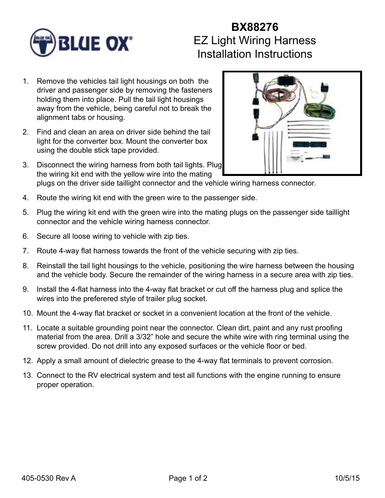

## **BX88276** EZ Light Wiring Harness Installation Instructions

- 1. Remove the vehicles tail light housings on both the driver and passenger side by removing the fasteners holding them into place. Pull the tail light housings away from the vehicle, being careful not to break the alignment tabs or housing.
- 2. Find and clean an area on driver side behind the tail light for the converter box. Mount the converter box using the double stick tape provided.
- 3. Disconnect the wiring harness from both tail lights. Plug the wiring kit end with the yellow wire into the mating plugs on the driver side taillight connector and the vehicle wiring harness connector.
- 4. Route the wiring kit end with the green wire to the passenger side.
- 5. Plug the wiring kit end with the green wire into the mating plugs on the passenger side taillight connector and the vehicle wiring harness connector.
- 6. Secure all loose wiring to vehicle with zip ties.
- 7. Route 4-way flat harness towards the front of the vehicle securing with zip ties.
- 8. Reinstall the tail light housings to the vehicle, positioning the wire harness between the housing and the vehicle body. Secure the remainder of the wiring harness in a secure area with zip ties.
- 9. Install the 4-flat harness into the 4-way flat bracket or cut off the harness plug and splice the wires into the preferered style of trailer plug socket.
- 10. Mount the 4-way flat bracket or socket in a convenient location at the front of the vehicle.
- 11. Locate a suitable grounding point near the connector. Clean dirt, paint and any rust proofing material from the area. Drill a 3/32" hole and secure the white wire with ring terminal using the screw provided. Do not drill into any exposed surfaces or the vehicle floor or bed.
- 12. Apply a small amount of dielectric grease to the 4-way flat terminals to prevent corrosion.
- 13. Connect to the RV electrical system and test all functions with the engine running to ensure proper operation.